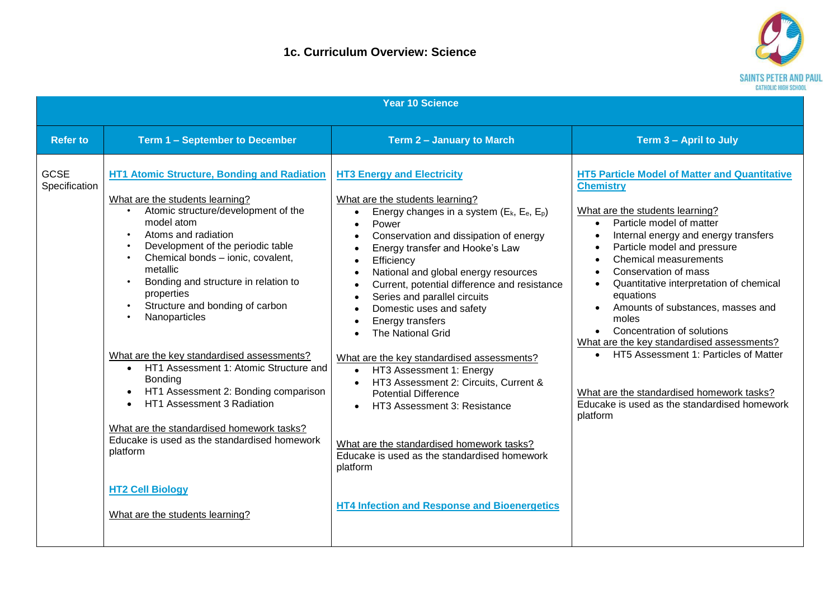

|                              |                                                                                                                                                                                                                                                                                                                                                                                                                                                                                                                                                                                                                                                                                                                                               | <b>Year 10 Science</b>                                                                                                                                                                                                                                                                                                                                                                                                                                                                                                                                                                                                                                                                                                                                                                                                                                                    |                                                                                                                                                                                                                                                                                                                                                                                                                                                                                                                                                                                                                                                                                              |
|------------------------------|-----------------------------------------------------------------------------------------------------------------------------------------------------------------------------------------------------------------------------------------------------------------------------------------------------------------------------------------------------------------------------------------------------------------------------------------------------------------------------------------------------------------------------------------------------------------------------------------------------------------------------------------------------------------------------------------------------------------------------------------------|---------------------------------------------------------------------------------------------------------------------------------------------------------------------------------------------------------------------------------------------------------------------------------------------------------------------------------------------------------------------------------------------------------------------------------------------------------------------------------------------------------------------------------------------------------------------------------------------------------------------------------------------------------------------------------------------------------------------------------------------------------------------------------------------------------------------------------------------------------------------------|----------------------------------------------------------------------------------------------------------------------------------------------------------------------------------------------------------------------------------------------------------------------------------------------------------------------------------------------------------------------------------------------------------------------------------------------------------------------------------------------------------------------------------------------------------------------------------------------------------------------------------------------------------------------------------------------|
| <b>Refer to</b>              | Term 1 - September to December                                                                                                                                                                                                                                                                                                                                                                                                                                                                                                                                                                                                                                                                                                                | Term 2 - January to March                                                                                                                                                                                                                                                                                                                                                                                                                                                                                                                                                                                                                                                                                                                                                                                                                                                 | Term 3 - April to July                                                                                                                                                                                                                                                                                                                                                                                                                                                                                                                                                                                                                                                                       |
| <b>GCSE</b><br>Specification | <b>HT1 Atomic Structure, Bonding and Radiation</b><br>What are the students learning?<br>Atomic structure/development of the<br>model atom<br>Atoms and radiation<br>Development of the periodic table<br>Chemical bonds - ionic, covalent,<br>metallic<br>Bonding and structure in relation to<br>properties<br>Structure and bonding of carbon<br>$\bullet$<br>Nanoparticles<br>What are the key standardised assessments?<br>• HT1 Assessment 1: Atomic Structure and<br>Bonding<br>HT1 Assessment 2: Bonding comparison<br>HT1 Assessment 3 Radiation<br>$\bullet$<br>What are the standardised homework tasks?<br>Educake is used as the standardised homework<br>platform<br><b>HT2 Cell Biology</b><br>What are the students learning? | <b>HT3 Energy and Electricity</b><br>What are the students learning?<br>Energy changes in a system $(E_k, E_e, E_p)$<br>$\bullet$<br>Power<br>$\bullet$<br>Conservation and dissipation of energy<br>Energy transfer and Hooke's Law<br>Efficiency<br>$\bullet$<br>National and global energy resources<br>Current, potential difference and resistance<br>Series and parallel circuits<br>$\bullet$<br>Domestic uses and safety<br>Energy transfers<br>$\bullet$<br><b>The National Grid</b><br>What are the key standardised assessments?<br>HT3 Assessment 1: Energy<br>$\bullet$<br>HT3 Assessment 2: Circuits, Current &<br>$\bullet$<br><b>Potential Difference</b><br>HT3 Assessment 3: Resistance<br>What are the standardised homework tasks?<br>Educake is used as the standardised homework<br>platform<br><b>HT4 Infection and Response and Bioenergetics</b> | <b>HT5 Particle Model of Matter and Quantitative</b><br><b>Chemistry</b><br>What are the students learning?<br>Particle model of matter<br>$\bullet$<br>Internal energy and energy transfers<br>$\bullet$<br>Particle model and pressure<br>$\bullet$<br><b>Chemical measurements</b><br>$\bullet$<br>Conservation of mass<br>$\bullet$<br>Quantitative interpretation of chemical<br>$\bullet$<br>equations<br>Amounts of substances, masses and<br>moles<br>• Concentration of solutions<br>What are the key standardised assessments?<br>• HT5 Assessment 1: Particles of Matter<br>What are the standardised homework tasks?<br>Educake is used as the standardised homework<br>platform |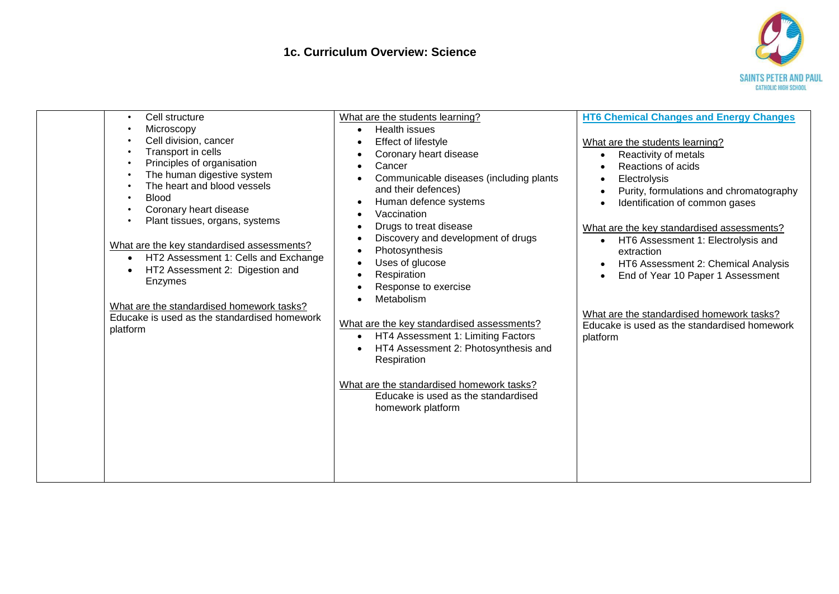

| Cell structure<br>$\bullet$<br>Microscopy<br>Cell division, cancer<br>Transport in cells<br>Principles of organisation<br>The human digestive system<br>The heart and blood vessels<br><b>Blood</b><br>Coronary heart disease<br>Plant tissues, organs, systems<br>What are the key standardised assessments?<br>HT2 Assessment 1: Cells and Exchange<br>$\bullet$<br>HT2 Assessment 2: Digestion and<br>Enzymes<br>What are the standardised homework tasks?<br>Educake is used as the standardised homework<br>platform | What are the students learning?<br>Health issues<br>$\bullet$<br>Effect of lifestyle<br>Coronary heart disease<br>Cancer<br>Communicable diseases (including plants<br>and their defences)<br>Human defence systems<br>$\bullet$<br>Vaccination<br>Drugs to treat disease<br>Discovery and development of drugs<br>×<br>Photosynthesis<br>$\bullet$<br>Uses of glucose<br>$\bullet$<br>Respiration<br>Response to exercise<br>Metabolism<br>What are the key standardised assessments?<br>HT4 Assessment 1: Limiting Factors<br>HT4 Assessment 2: Photosynthesis and<br>Respiration<br>What are the standardised homework tasks?<br>Educake is used as the standardised<br>homework platform | <b>HT6 Chemical Changes and Energy Changes</b><br>What are the students learning?<br>Reactivity of metals<br>$\bullet$<br>Reactions of acids<br>Electrolysis<br>Purity, formulations and chromatography<br>Identification of common gases<br>What are the key standardised assessments?<br>HT6 Assessment 1: Electrolysis and<br>$\bullet$<br>extraction<br>HT6 Assessment 2: Chemical Analysis<br>End of Year 10 Paper 1 Assessment<br>What are the standardised homework tasks?<br>Educake is used as the standardised homework<br>platform |
|---------------------------------------------------------------------------------------------------------------------------------------------------------------------------------------------------------------------------------------------------------------------------------------------------------------------------------------------------------------------------------------------------------------------------------------------------------------------------------------------------------------------------|----------------------------------------------------------------------------------------------------------------------------------------------------------------------------------------------------------------------------------------------------------------------------------------------------------------------------------------------------------------------------------------------------------------------------------------------------------------------------------------------------------------------------------------------------------------------------------------------------------------------------------------------------------------------------------------------|-----------------------------------------------------------------------------------------------------------------------------------------------------------------------------------------------------------------------------------------------------------------------------------------------------------------------------------------------------------------------------------------------------------------------------------------------------------------------------------------------------------------------------------------------|
|---------------------------------------------------------------------------------------------------------------------------------------------------------------------------------------------------------------------------------------------------------------------------------------------------------------------------------------------------------------------------------------------------------------------------------------------------------------------------------------------------------------------------|----------------------------------------------------------------------------------------------------------------------------------------------------------------------------------------------------------------------------------------------------------------------------------------------------------------------------------------------------------------------------------------------------------------------------------------------------------------------------------------------------------------------------------------------------------------------------------------------------------------------------------------------------------------------------------------------|-----------------------------------------------------------------------------------------------------------------------------------------------------------------------------------------------------------------------------------------------------------------------------------------------------------------------------------------------------------------------------------------------------------------------------------------------------------------------------------------------------------------------------------------------|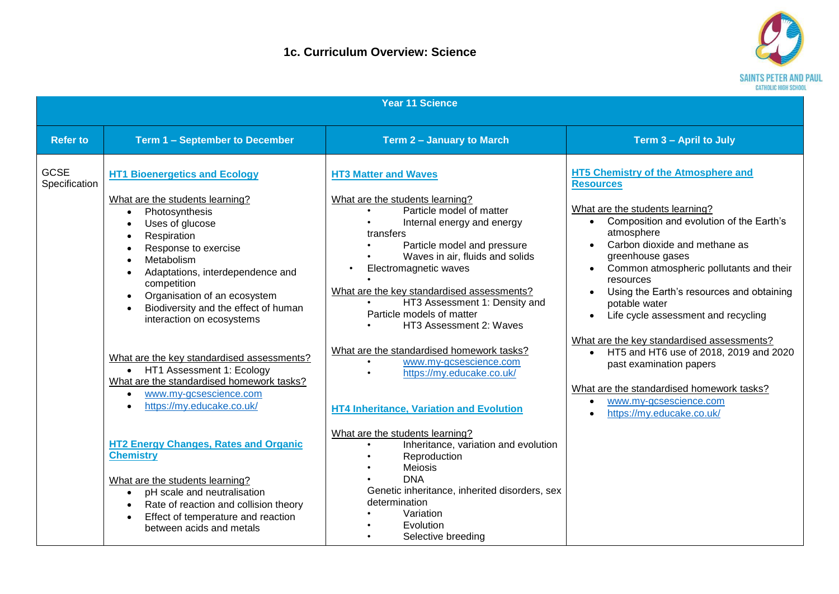

| <b>Year 11 Science</b>       |                                                                                                                                                                                                                                                                                                                                                                                                                                                                                            |                                                                                                                                                                                                                                                                                                                                                                                                                                                                                          |                                                                                                                                                                                                                                                                                                                                                                                                                                                                                                    |  |
|------------------------------|--------------------------------------------------------------------------------------------------------------------------------------------------------------------------------------------------------------------------------------------------------------------------------------------------------------------------------------------------------------------------------------------------------------------------------------------------------------------------------------------|------------------------------------------------------------------------------------------------------------------------------------------------------------------------------------------------------------------------------------------------------------------------------------------------------------------------------------------------------------------------------------------------------------------------------------------------------------------------------------------|----------------------------------------------------------------------------------------------------------------------------------------------------------------------------------------------------------------------------------------------------------------------------------------------------------------------------------------------------------------------------------------------------------------------------------------------------------------------------------------------------|--|
| <b>Refer to</b>              | Term 1 - September to December                                                                                                                                                                                                                                                                                                                                                                                                                                                             | Term 2 - January to March                                                                                                                                                                                                                                                                                                                                                                                                                                                                | Term 3 - April to July                                                                                                                                                                                                                                                                                                                                                                                                                                                                             |  |
| <b>GCSE</b><br>Specification | <b>HT1 Bioenergetics and Ecology</b><br>What are the students learning?<br>Photosynthesis<br>$\bullet$<br>Uses of glucose<br>Respiration<br>$\bullet$<br>Response to exercise<br>Metabolism<br>Adaptations, interdependence and<br>competition<br>Organisation of an ecosystem<br>$\bullet$<br>Biodiversity and the effect of human<br>interaction on ecosystems<br>What are the key standardised assessments?<br>• HT1 Assessment 1: Ecology<br>What are the standardised homework tasks? | <b>HT3 Matter and Waves</b><br>What are the students learning?<br>Particle model of matter<br>Internal energy and energy<br>transfers<br>Particle model and pressure<br>Waves in air, fluids and solids<br>Electromagnetic waves<br>What are the key standardised assessments?<br>HT3 Assessment 1: Density and<br>Particle models of matter<br>HT3 Assessment 2: Waves<br>What are the standardised homework tasks?<br>www.my-gcsescience.com<br>$\bullet$<br>https://my.educake.co.uk/ | <b>HT5 Chemistry of the Atmosphere and</b><br><b>Resources</b><br>What are the students learning?<br>Composition and evolution of the Earth's<br>atmosphere<br>Carbon dioxide and methane as<br>greenhouse gases<br>Common atmospheric pollutants and their<br>resources<br>Using the Earth's resources and obtaining<br>potable water<br>Life cycle assessment and recycling<br>What are the key standardised assessments?<br>• HT5 and HT6 use of 2018, 2019 and 2020<br>past examination papers |  |
|                              | www.my-gcsescience.com<br>https://my.educake.co.uk/<br><b>HT2 Energy Changes, Rates and Organic</b><br><b>Chemistry</b><br>What are the students learning?<br>pH scale and neutralisation<br>Rate of reaction and collision theory<br>Effect of temperature and reaction<br>between acids and metals                                                                                                                                                                                       | <b>HT4 Inheritance, Variation and Evolution</b><br>What are the students learning?<br>Inheritance, variation and evolution<br>Reproduction<br><b>Meiosis</b><br><b>DNA</b><br>Genetic inheritance, inherited disorders, sex<br>determination<br>Variation<br>Evolution<br>Selective breeding                                                                                                                                                                                             | What are the standardised homework tasks?<br>www.my-gcsescience.com<br>https://my.educake.co.uk/                                                                                                                                                                                                                                                                                                                                                                                                   |  |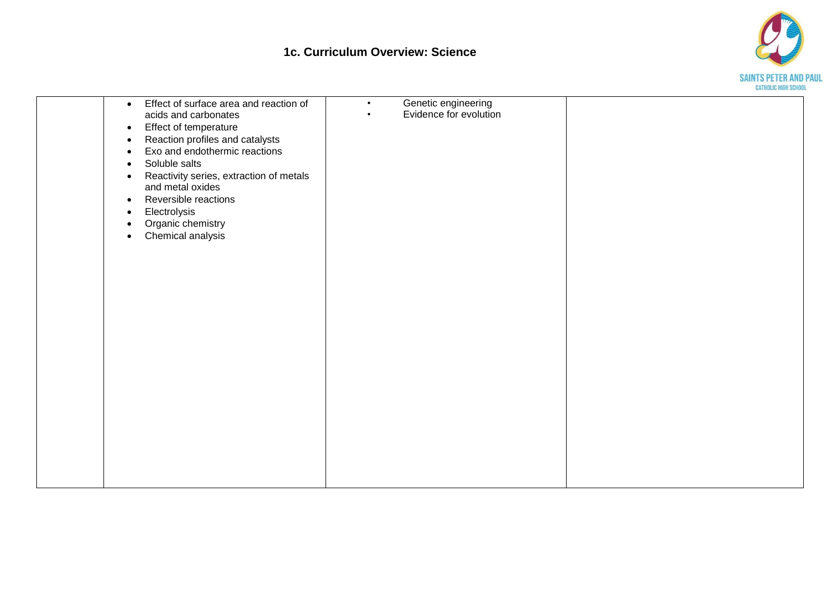## **1c. Curriculum Overview: Science**



| Effect of surface area and reaction of<br>$\bullet$<br>acids and carbonates<br>Effect of temperature<br>$\bullet$<br>Reaction profiles and catalysts<br>$\bullet$<br>Exo and endothermic reactions<br>$\bullet$<br>Soluble salts<br>$\bullet$<br>Reactivity series, extraction of metals<br>$\bullet$<br>and metal oxides<br>Reversible reactions<br>$\bullet$<br>Electrolysis<br>$\bullet$<br>Organic chemistry<br>$\bullet$<br>Chemical analysis<br>$\bullet$ | Genetic engineering<br>$\bullet$<br>Evidence for evolution<br>$\bullet$ |  |
|-----------------------------------------------------------------------------------------------------------------------------------------------------------------------------------------------------------------------------------------------------------------------------------------------------------------------------------------------------------------------------------------------------------------------------------------------------------------|-------------------------------------------------------------------------|--|
|                                                                                                                                                                                                                                                                                                                                                                                                                                                                 |                                                                         |  |